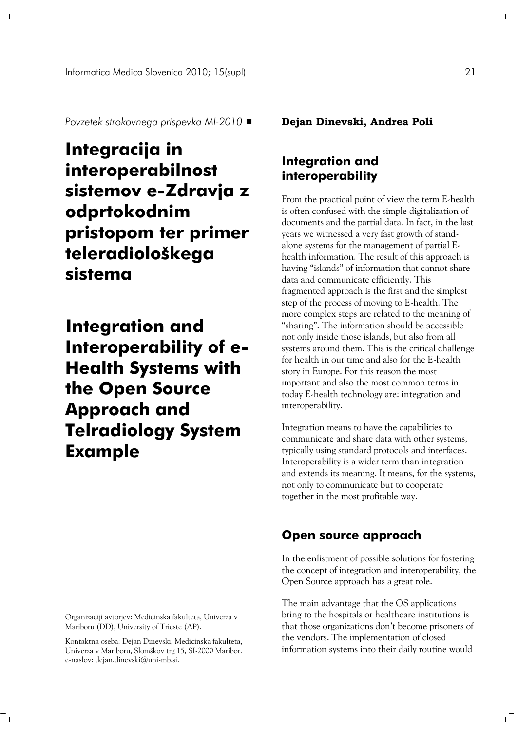*Povzetek strokovnega prispevka MI-2010*

# **Integracija in interoperabilnost sistemov e-Zdravja z odprtokodnim pristopom ter primer teleradiološkega sistema**

**Integration and [I](#page-0-0) nteroperability of e-Health Systems with the Open Source Approach and Telradiology System Example**

<span id="page-0-0"></span>Organizaciji avtorjev: Medicinska fakulteta, Univerza v Mariboru (DD), University of Trieste (AP).

 $^{-}$   $_{\rm I}$ 

**Dejan Dinevski, Andrea Poli** 

# **Integration and interoperability**

From the practical point of view the term E-health is often confused with the simple digitalization of documents and the partial data. In fact, in the last years we witnessed a very fast growth of standalone systems for the management of partial Ehealth information. The result of this approach is having "islands" of information that cannot share data and communicate efficiently. This fragmented approach is the first and the simplest step of the process of moving to E-health. The more complex steps are related to the meaning of "sharing". The information should be accessible not only inside those islands, but also from all systems around them. This is the critical challenge for health in our time and also for the E-health story in Europe. For this reason the most important and also the most common terms in today E-health technology are: integration and interoperability.

Integration means to have the capabilities to communicate and share data with other systems, typically using standard protocols and interfaces. Interoperability is a wider term than integration and extends its meaning. It means, for the systems, not only to communicate but to cooperate together in the most profitable way.

### **Open source approach**

In the enlistment of possible solutions for fostering the concept of integration and interoperability, the Open Source approach has a great role.

The main advantage that the OS applications bring to the hospitals or healthcare institutions is that those organizations don't become prisoners of the vendors. The implementation of closed information systems into their daily routine would

 $\| \cdot \|$ 

 $\mathbb{L}$ 

Kontaktna oseba: Dejan Dinevski, Medicinska fakulteta, Univerza v Mariboru, Slomškov trg 15, SI-2000 Maribor. e-naslov: dejan.dinevski@uni-mb.si.